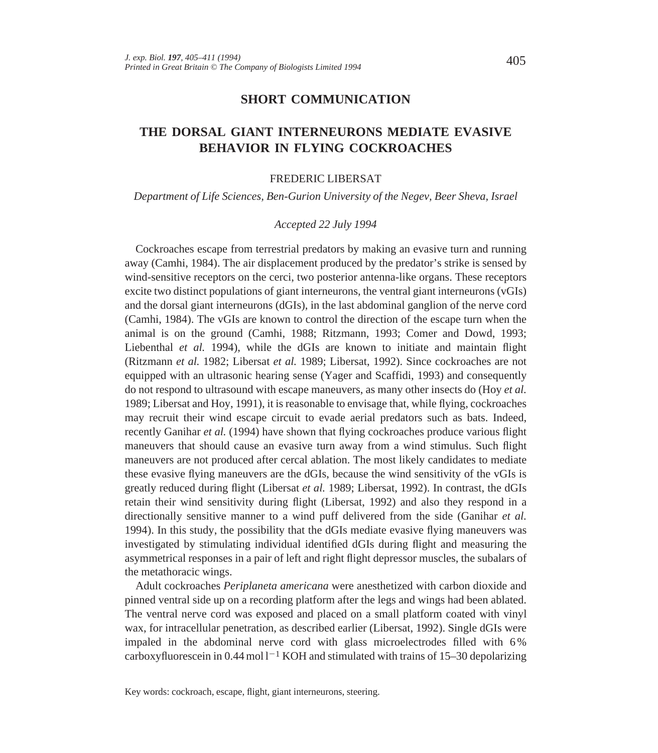## **SHORT COMMUNICATION**

# **THE DORSAL GIANT INTERNEURONS MEDIATE EVASIVE BEHAVIOR IN FLYING COCKROACHES**

#### FREDERIC LIBERSAT

*Department of Life Sciences, Ben-Gurion University of the Negev, Beer Sheva, Israel*

#### *Accepted 22 July 1994*

Cockroaches escape from terrestrial predators by making an evasive turn and running away (Camhi, 1984). The air displacement produced by the predator's strike is sensed by wind-sensitive receptors on the cerci, two posterior antenna-like organs. These receptors excite two distinct populations of giant interneurons, the ventral giant interneurons (vGIs) and the dorsal giant interneurons (dGIs), in the last abdominal ganglion of the nerve cord (Camhi, 1984). The vGIs are known to control the direction of the escape turn when the animal is on the ground (Camhi, 1988; Ritzmann, 1993; Comer and Dowd, 1993; Liebenthal *et al.* 1994), while the dGIs are known to initiate and maintain flight (Ritzmann *et al.* 1982; Libersat *et al.* 1989; Libersat, 1992). Since cockroaches are not equipped with an ultrasonic hearing sense (Yager and Scaffidi, 1993) and consequently do not respond to ultrasound with escape maneuvers, as many other insects do (Hoy *et al.* 1989; Libersat and Hoy, 1991), it is reasonable to envisage that, while flying, cockroaches may recruit their wind escape circuit to evade aerial predators such as bats. Indeed, recently Ganihar *et al.* (1994) have shown that flying cockroaches produce various flight maneuvers that should cause an evasive turn away from a wind stimulus. Such flight maneuvers are not produced after cercal ablation. The most likely candidates to mediate these evasive flying maneuvers are the dGIs, because the wind sensitivity of the vGIs is greatly reduced during flight (Libersat *et al.* 1989; Libersat, 1992). In contrast, the dGIs retain their wind sensitivity during flight (Libersat, 1992) and also they respond in a directionally sensitive manner to a wind puff delivered from the side (Ganihar *et al.* 1994). In this study, the possibility that the dGIs mediate evasive flying maneuvers was investigated by stimulating individual identified dGIs during flight and measuring the asymmetrical responses in a pair of left and right flight depressor muscles, the subalars of the metathoracic wings.

Adult cockroaches *Periplaneta americana* were anesthetized with carbon dioxide and pinned ventral side up on a recording platform after the legs and wings had been ablated. The ventral nerve cord was exposed and placed on a small platform coated with vinyl wax, for intracellular penetration, as described earlier (Libersat, 1992). Single dGIs were impaled in the abdominal nerve cord with glass microelectrodes filled with 6 % carboxyfluorescein in 0.44 mol  $1^{-1}$  KOH and stimulated with trains of 15–30 depolarizing

Key words: cockroach, escape, flight, giant interneurons, steering.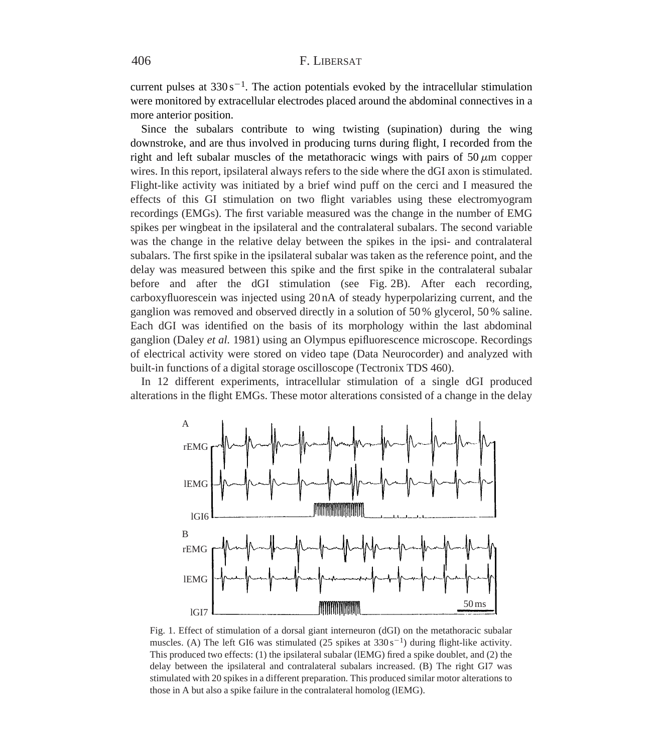## 406 F. LIBERSAT

current pulses at  $330 s^{-1}$ . The action potentials evoked by the intracellular stimulation were monitored by extracellular electrodes placed around the abdominal connectives in a more anterior position.

Since the subalars contribute to wing twisting (supination) during the wing downstroke, and are thus involved in producing turns during flight, I recorded from the right and left subalar muscles of the metathoracic wings with pairs of  $50 \mu m$  copper wires. In this report, ipsilateral always refers to the side where the dGI axon is stimulated. Flight-like activity was initiated by a brief wind puff on the cerci and I measured the effects of this GI stimulation on two flight variables using these electromyogram recordings (EMGs). The first variable measured was the change in the number of EMG spikes per wingbeat in the ipsilateral and the contralateral subalars. The second variable was the change in the relative delay between the spikes in the ipsi- and contralateral subalars. The first spike in the ipsilateral subalar was taken as the reference point, and the delay was measured between this spike and the first spike in the contralateral subalar before and after the dGI stimulation (see Fig. 2B). After each recording, carboxyfluorescein was injected using 20 nA of steady hyperpolarizing current, and the ganglion was removed and observed directly in a solution of 50 % glycerol, 50 % saline. Each dGI was identified on the basis of its morphology within the last abdominal ganglion (Daley *et al.* 1981) using an Olympus epifluorescence microscope. Recordings of electrical activity were stored on video tape (Data Neurocorder) and analyzed with built-in functions of a digital storage oscilloscope (Tectronix TDS 460).

In 12 different experiments, intracellular stimulation of a single dGI produced alterations in the flight EMGs. These motor alterations consisted of a change in the delay



Fig. 1. Effect of stimulation of a dorsal giant interneuron (dGI) on the metathoracic subalar muscles. (A) The left GI6 was stimulated (25 spikes at  $330 \text{ s}^{-1}$ ) during flight-like activity. This produced two effects: (1) the ipsilateral subalar (lEMG) fired a spike doublet, and (2) the delay between the ipsilateral and contralateral subalars increased. (B) The right GI7 was stimulated with 20 spikes in a different preparation. This produced similar motor alterations to those in A but also a spike failure in the contralateral homolog (lEMG).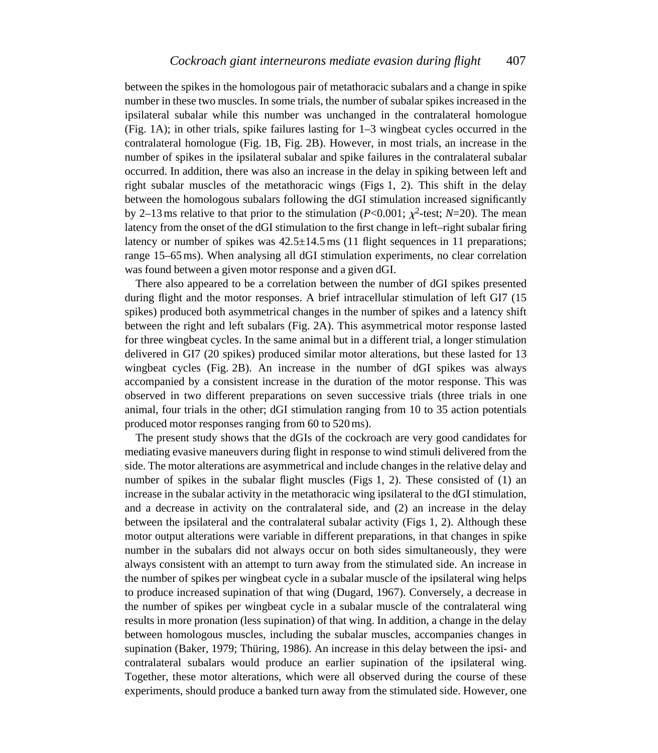between the spikes in the homologous pair of metathoracic subalars and a change in spike number in these two muscles. In some trials, the number of subalar spikes increased in the ipsilateral subalar while this number was unchanged in the contralateral homologue (Fig. 1A); in other trials, spike failures lasting for 1–3 wingbeat cycles occurred in the contralateral homologue (Fig. 1B, Fig. 2B). However, in most trials, an increase in the number of spikes in the ipsilateral subalar and spike failures in the contralateral subalar occurred. In addition, there was also an increase in the delay in spiking between left and right subalar muscles of the metathoracic wings (Figs 1, 2). This shift in the delay between the homologous subalars following the dGI stimulation increased significantly by 2–13 ms relative to that prior to the stimulation ( $P<0.001$ ;  $\chi^2$ -test;  $N=20$ ). The mean latency from the onset of the dGI stimulation to the first change in left–right subalar firing latency or number of spikes was  $42.5 \pm 14.5$  ms (11 flight sequences in 11 preparations; range 15–65ms). When analysing all dGI stimulation experiments, no clear correlation was found between a given motor response and a given dGI.

There also appeared to be a correlation between the number of dGI spikes presented during flight and the motor responses. A brief intracellular stimulation of left GI7 (15 spikes) produced both asymmetrical changes in the number of spikes and a latency shift between the right and left subalars (Fig. 2A). This asymmetrical motor response lasted for three wingbeat cycles. In the same animal but in a different trial, a longer stimulation delivered in GI7 (20 spikes) produced similar motor alterations, but these lasted for 13 wingbeat cycles (Fig. 2B). An increase in the number of dGI spikes was always accompanied by a consistent increase in the duration of the motor response. This was observed in two different preparations on seven successive trials (three trials in one animal, four trials in the other; dGI stimulation ranging from 10 to 35 action potentials produced motor responses ranging from 60 to 520ms).

The present study shows that the dGIs of the cockroach are very good candidates for mediating evasive maneuvers during flight in response to wind stimuli delivered from the side. The motor alterations are asymmetrical and include changes in the relative delay and number of spikes in the subalar flight muscles (Figs 1, 2). These consisted of (1) an increase in the subalar activity in the metathoracic wing ipsilateral to the dGI stimulation, and a decrease in activity on the contralateral side, and (2) an increase in the delay between the ipsilateral and the contralateral subalar activity (Figs 1, 2). Although these motor output alterations were variable in different preparations, in that changes in spike number in the subalars did not always occur on both sides simultaneously, they were always consistent with an attempt to turn away from the stimulated side. An increase in the number of spikes per wingbeat cycle in a subalar muscle of the ipsilateral wing helps to produce increased supination of that wing (Dugard, 1967). Conversely, a decrease in the number of spikes per wingbeat cycle in a subalar muscle of the contralateral wing results in more pronation (less supination) of that wing. In addition, a change in the delay between homologous muscles, including the subalar muscles, accompanies changes in supination (Baker, 1979; Thüring, 1986). An increase in this delay between the ipsi- and contralateral subalars would produce an earlier supination of the ipsilateral wing. Together, these motor alterations, which were all observed during the course of these experiments, should produce a banked turn away from the stimulated side. However, one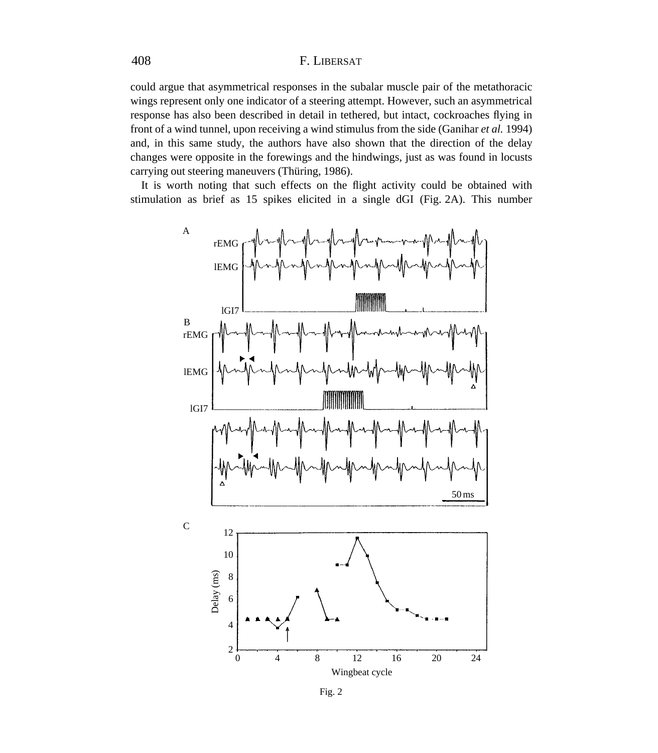## 408 F. LIBERSAT

could argue that asymmetrical responses in the subalar muscle pair of the metathoracic wings represent only one indicator of a steering attempt. However, such an asymmetrical response has also been described in detail in tethered, but intact, cockroaches flying in front of a wind tunnel, upon receiving a wind stimulus from the side (Ganihar *et al.* 1994) and, in this same study, the authors have also shown that the direction of the delay changes were opposite in the forewings and the hindwings, just as was found in locusts carrying out steering maneuvers (Thüring, 1986).

It is worth noting that such effects on the flight activity could be obtained with stimulation as brief as 15 spikes elicited in a single dGI (Fig. 2A). This number



Fig. 2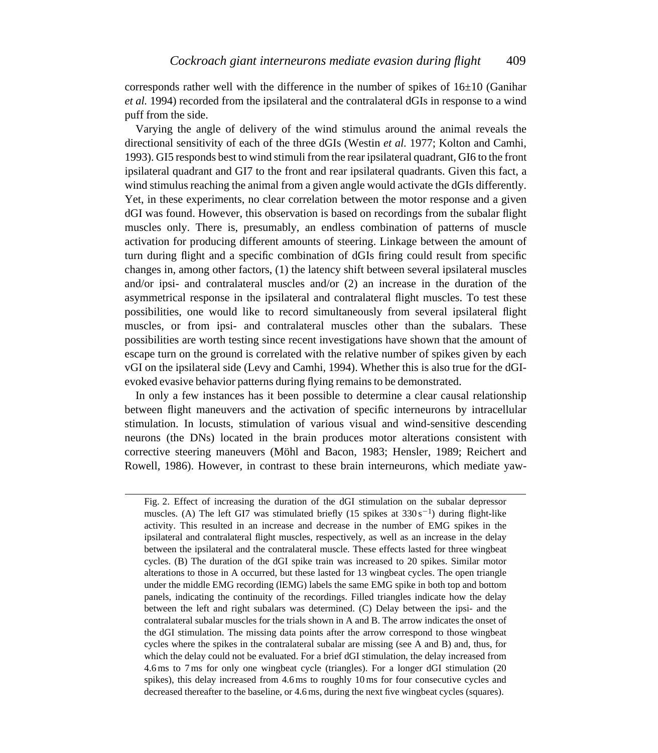corresponds rather well with the difference in the number of spikes of  $16\pm10$  (Ganihar *et al.* 1994) recorded from the ipsilateral and the contralateral dGIs in response to a wind puff from the side.

Varying the angle of delivery of the wind stimulus around the animal reveals the directional sensitivity of each of the three dGIs (Westin *et al.* 1977; Kolton and Camhi, 1993). GI5 responds best to wind stimuli from the rear ipsilateral quadrant, GI6 to the front ipsilateral quadrant and GI7 to the front and rear ipsilateral quadrants. Given this fact, a wind stimulus reaching the animal from a given angle would activate the dGIs differently. Yet, in these experiments, no clear correlation between the motor response and a given dGI was found. However, this observation is based on recordings from the subalar flight muscles only. There is, presumably, an endless combination of patterns of muscle activation for producing different amounts of steering. Linkage between the amount of turn during flight and a specific combination of dGIs firing could result from specific changes in, among other factors, (1) the latency shift between several ipsilateral muscles and/or ipsi- and contralateral muscles and/or (2) an increase in the duration of the asymmetrical response in the ipsilateral and contralateral flight muscles. To test these possibilities, one would like to record simultaneously from several ipsilateral flight muscles, or from ipsi- and contralateral muscles other than the subalars. These possibilities are worth testing since recent investigations have shown that the amount of escape turn on the ground is correlated with the relative number of spikes given by each vGI on the ipsilateral side (Levy and Camhi, 1994). Whether this is also true for the dGIevoked evasive behavior patterns during flying remains to be demonstrated.

In only a few instances has it been possible to determine a clear causal relationship between flight maneuvers and the activation of specific interneurons by intracellular stimulation. In locusts, stimulation of various visual and wind-sensitive descending neurons (the DNs) located in the brain produces motor alterations consistent with corrective steering maneuvers (Möhl and Bacon, 1983; Hensler, 1989; Reichert and Rowell, 1986). However, in contrast to these brain interneurons, which mediate yaw-

Fig. 2. Effect of increasing the duration of the dGI stimulation on the subalar depressor muscles. (A) The left GI7 was stimulated briefly (15 spikes at  $330 s^{-1}$ ) during flight-like activity. This resulted in an increase and decrease in the number of EMG spikes in the ipsilateral and contralateral flight muscles, respectively, as well as an increase in the delay between the ipsilateral and the contralateral muscle. These effects lasted for three wingbeat cycles. (B) The duration of the dGI spike train was increased to 20 spikes. Similar motor alterations to those in A occurred, but these lasted for 13 wingbeat cycles. The open triangle under the middle EMG recording (lEMG) labels the same EMG spike in both top and bottom panels, indicating the continuity of the recordings. Filled triangles indicate how the delay between the left and right subalars was determined. (C) Delay between the ipsi- and the contralateral subalar muscles for the trials shown in A and B. The arrow indicates the onset of the dGI stimulation. The missing data points after the arrow correspond to those wingbeat cycles where the spikes in the contralateral subalar are missing (see A and B) and, thus, for which the delay could not be evaluated. For a brief dGI stimulation, the delay increased from 4.6ms to 7ms for only one wingbeat cycle (triangles). For a longer dGI stimulation (20 spikes), this delay increased from 4.6ms to roughly 10ms for four consecutive cycles and decreased thereafter to the baseline, or 4.6ms, during the next five wingbeat cycles (squares).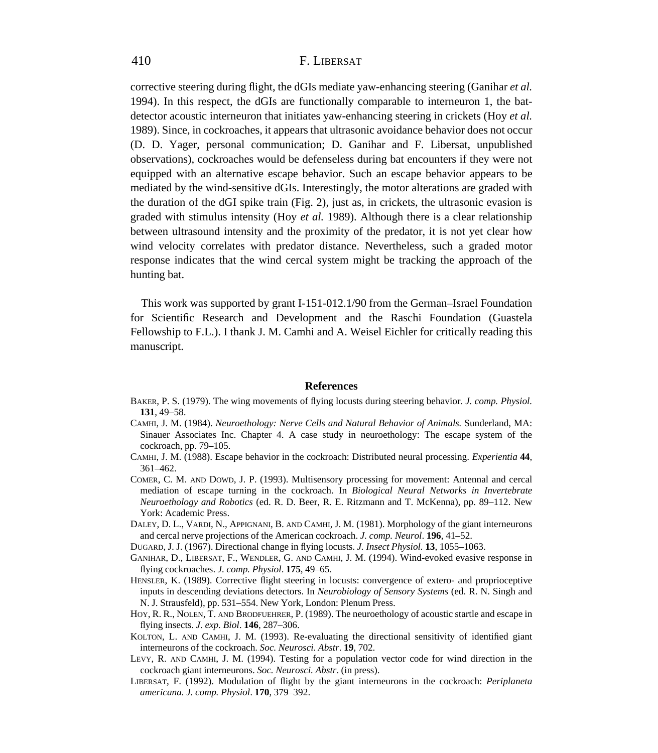## 410 F. LIBERSAT

corrective steering during flight, the dGIs mediate yaw-enhancing steering (Ganihar *et al.* 1994). In this respect, the dGIs are functionally comparable to interneuron 1, the batdetector acoustic interneuron that initiates yaw-enhancing steering in crickets (Hoy *et al.* 1989). Since, in cockroaches, it appears that ultrasonic avoidance behavior does not occur (D. D. Yager, personal communication; D. Ganihar and F. Libersat, unpublished observations), cockroaches would be defenseless during bat encounters if they were not equipped with an alternative escape behavior. Such an escape behavior appears to be mediated by the wind-sensitive dGIs. Interestingly, the motor alterations are graded with the duration of the dGI spike train (Fig. 2), just as, in crickets, the ultrasonic evasion is graded with stimulus intensity (Hoy *et al.* 1989). Although there is a clear relationship between ultrasound intensity and the proximity of the predator, it is not yet clear how wind velocity correlates with predator distance. Nevertheless, such a graded motor response indicates that the wind cercal system might be tracking the approach of the hunting bat.

This work was supported by grant I-151-012.1/90 from the German–Israel Foundation for Scientific Research and Development and the Raschi Foundation (Guastela Fellowship to F.L.). I thank J. M. Camhi and A. Weisel Eichler for critically reading this manuscript.

#### **References**

- BAKER, P. S. (1979). The wing movements of flying locusts during steering behavior. *J. comp. Physiol.* **131**, 49–58.
- CAMHI, J. M. (1984). *Neuroethology: Nerve Cells and Natural Behavior of Animals.* Sunderland, MA: Sinauer Associates Inc. Chapter 4. A case study in neuroethology: The escape system of the cockroach, pp. 79–105.
- CAMHI, J. M. (1988). Escape behavior in the cockroach: Distributed neural processing. *Experientia* **44**, 361–462.
- COMER, C. M. AND DOWD, J. P. (1993). Multisensory processing for movement: Antennal and cercal mediation of escape turning in the cockroach. In *Biological Neural Networks in Invertebrate Neuroethology and Robotics* (ed. R. D. Beer, R. E. Ritzmann and T. McKenna), pp. 89–112. New York: Academic Press.
- DALEY, D. L., VARDI, N., APPIGNANI, B. AND CAMHI, J. M. (1981). Morphology of the giant interneurons and cercal nerve projections of the American cockroach. *J. comp. Neurol*. **196**, 41–52.
- DUGARD, J. J. (1967). Directional change in flying locusts. *J. Insect Physiol.* **13**, 1055–1063.
- GANIHAR, D., LIBERSAT, F., WENDLER, G. AND CAMHI, J. M. (1994). Wind-evoked evasive response in flying cockroaches. *J. comp. Physiol*. **175**, 49–65.
- HENSLER, K. (1989). Corrective flight steering in locusts: convergence of extero- and proprioceptive inputs in descending deviations detectors. In *Neurobiology of Sensory Systems* (ed. R. N. Singh and N. J. Strausfeld), pp. 531–554. New York, London: Plenum Press.
- HOY, R. R., NOLEN, T. AND BRODFUEHRER, P. (1989). The neuroethology of acoustic startle and escape in flying insects. *J. exp. Biol*. **146**, 287–306.
- KOLTON, L. AND CAMHI, J. M. (1993). Re-evaluating the directional sensitivity of identified giant interneurons of the cockroach. *Soc. Neurosci. Abstr*. **19**, 702.
- LEVY, R. AND CAMHI, J. M. (1994). Testing for a population vector code for wind direction in the cockroach giant interneurons. *Soc. Neurosci. Abstr*. (in press).
- LIBERSAT, F. (1992). Modulation of flight by the giant interneurons in the cockroach: *Periplaneta americana. J. comp. Physiol*. **170**, 379–392.